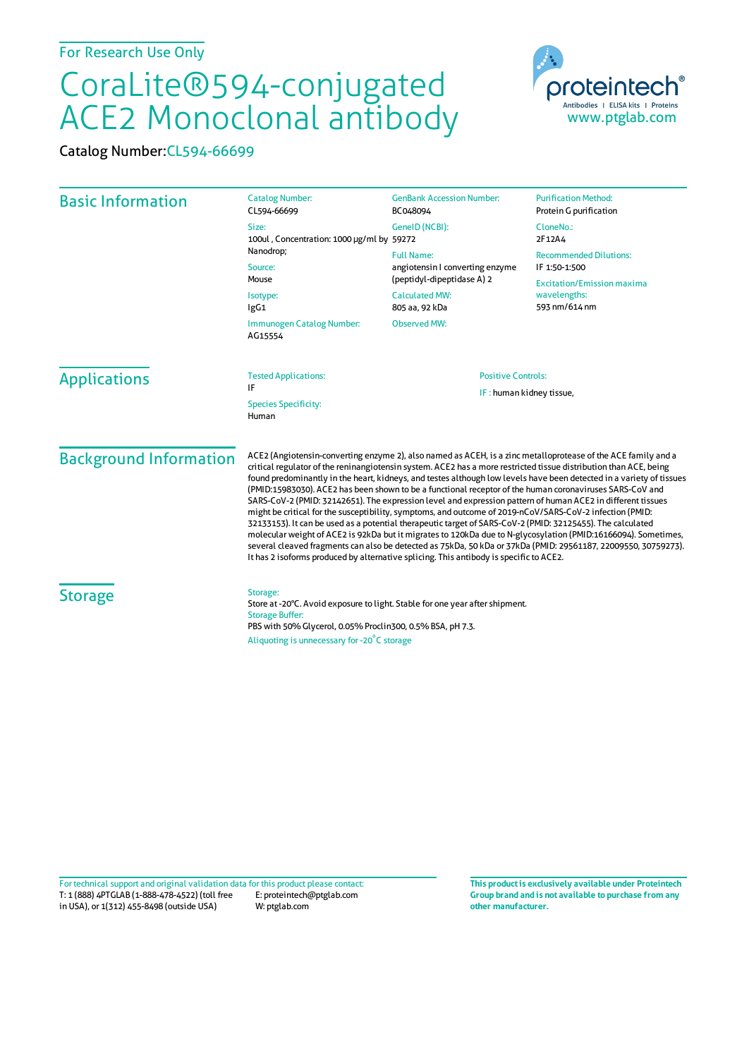## CoraLite®594-conjugated ACE2 Monoclonal antibody

Catalog Number:CL594-66699

| <b>Basic Information</b>             | <b>Catalog Number:</b><br>CL594-66699                                                                                                                                                                                                                                                                                                                                                                                                                                                                                                                                                                                                                                                                                                                                                                                                                                                                                                                                                                                                                                                                                                         | <b>GenBank Accession Number:</b><br>BC048094                                                                                  | <b>Purification Method:</b><br>Protein G purification                                                                |
|--------------------------------------|-----------------------------------------------------------------------------------------------------------------------------------------------------------------------------------------------------------------------------------------------------------------------------------------------------------------------------------------------------------------------------------------------------------------------------------------------------------------------------------------------------------------------------------------------------------------------------------------------------------------------------------------------------------------------------------------------------------------------------------------------------------------------------------------------------------------------------------------------------------------------------------------------------------------------------------------------------------------------------------------------------------------------------------------------------------------------------------------------------------------------------------------------|-------------------------------------------------------------------------------------------------------------------------------|----------------------------------------------------------------------------------------------------------------------|
|                                      | Size:<br>100ul, Concentration: 1000 µg/ml by 59272<br>Nanodrop;<br>Source:<br>Mouse<br>Isotype:<br>IgG1                                                                                                                                                                                                                                                                                                                                                                                                                                                                                                                                                                                                                                                                                                                                                                                                                                                                                                                                                                                                                                       | GeneID (NCBI):                                                                                                                | CloneNo.:<br>2F12A4                                                                                                  |
|                                      |                                                                                                                                                                                                                                                                                                                                                                                                                                                                                                                                                                                                                                                                                                                                                                                                                                                                                                                                                                                                                                                                                                                                               | <b>Full Name:</b><br>angiotensin I converting enzyme<br>(peptidyl-dipeptidase A) 2<br><b>Calculated MW:</b><br>805 aa, 92 kDa | <b>Recommended Dilutions:</b><br>IF 1:50-1:500<br><b>Excitation/Emission maxima</b><br>wavelengths:<br>593 nm/614 nm |
|                                      |                                                                                                                                                                                                                                                                                                                                                                                                                                                                                                                                                                                                                                                                                                                                                                                                                                                                                                                                                                                                                                                                                                                                               |                                                                                                                               |                                                                                                                      |
|                                      | <b>Applications</b>                                                                                                                                                                                                                                                                                                                                                                                                                                                                                                                                                                                                                                                                                                                                                                                                                                                                                                                                                                                                                                                                                                                           | <b>Tested Applications:</b><br>ΙF                                                                                             | <b>Positive Controls:</b>                                                                                            |
| <b>Species Specificity:</b><br>Human |                                                                                                                                                                                                                                                                                                                                                                                                                                                                                                                                                                                                                                                                                                                                                                                                                                                                                                                                                                                                                                                                                                                                               | IF: human kidney tissue,                                                                                                      |                                                                                                                      |
| <b>Background Information</b>        | ACE2 (Angiotensin-converting enzyme 2), also named as ACEH, is a zinc metalloprotease of the ACE family and a<br>critical regulator of the reninangiotensin system. ACE2 has a more restricted tissue distribution than ACE, being<br>found predominantly in the heart, kidneys, and testes although low levels have been detected in a variety of tissues<br>(PMID:15983030). ACE2 has been shown to be a functional receptor of the human coronaviruses SARS-CoV and<br>SARS-CoV-2 (PMID: 32142651). The expression level and expression pattern of human ACE2 in different tissues<br>might be critical for the susceptibility, symptoms, and outcome of 2019-nCoV/SARS-CoV-2 infection (PMID:<br>32133153). It can be used as a potential therapeutic target of SARS-CoV-2 (PMID: 32125455). The calculated<br>molecular weight of ACE2 is 92kDa but it migrates to 120kDa due to N-glycosylation (PMID:16166094). Sometimes,<br>several cleaved fragments can also be detected as 75kDa, 50 kDa or 37kDa (PMID: 29561187, 22009550, 30759273).<br>It has 2 isoforms produced by alternative splicing. This antibody is specific to ACE2. |                                                                                                                               |                                                                                                                      |
| <b>Storage</b>                       | Storage:<br>Store at -20°C. Avoid exposure to light. Stable for one year after shipment.<br><b>Storage Buffer:</b><br>PBS with 50% Glycerol, 0.05% Proclin300, 0.5% BSA, pH 7.3.<br>Aliquoting is unnecessary for -20°C storage                                                                                                                                                                                                                                                                                                                                                                                                                                                                                                                                                                                                                                                                                                                                                                                                                                                                                                               |                                                                                                                               |                                                                                                                      |

T: 1 (888) 4PTGLAB (1-888-478-4522) (toll free in USA), or 1(312) 455-8498 (outside USA) E: proteintech@ptglab.com W: ptglab.com Fortechnical support and original validation data forthis product please contact: **This productis exclusively available under Proteintech**

**Group brand and is not available to purchase from any other manufacturer.**